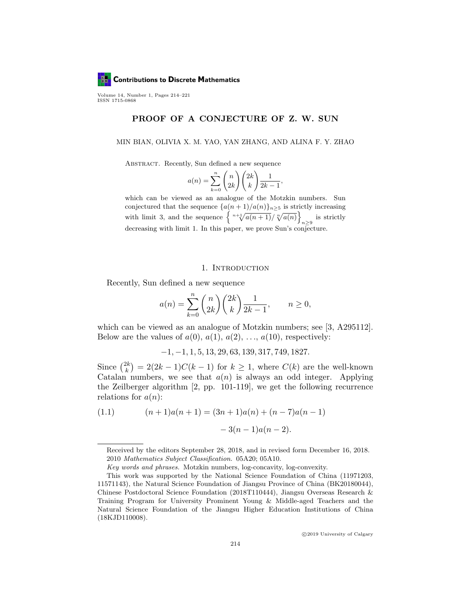

Volume 14, Number 1, Pages 214–221 ISSN 1715-0868

## PROOF OF A CONJECTURE OF Z. W. SUN

#### MIN BIAN, OLIVIA X. M. YAO, YAN ZHANG, AND ALINA F. Y. ZHAO

Abstract. Recently, Sun defined a new sequence

$$
a(n) = \sum_{k=0}^{n} \binom{n}{2k} \binom{2k}{k} \frac{1}{2k-1}
$$

,

which can be viewed as an analogue of the Motzkin numbers. Sun conjectured that the sequence  $\{a(n+1)/a(n)\}_{n\geq 5}$  is strictly increasing with limit 3, and the sequence  $\left\{ \sqrt[n+1]{a(n+1)}/\sqrt[n]{a(n)} \right\}$ is strictly  $n \geq 9$ decreasing with limit 1. In this paper, we prove Sun's conjecture.

### 1. INTRODUCTION

Recently, Sun defined a new sequence

$$
a(n) = \sum_{k=0}^{n} {n \choose 2k} {2k \choose k} \frac{1}{2k-1}, \qquad n \ge 0,
$$

which can be viewed as an analogue of Motzkin numbers; see [3, A295112]. Below are the values of  $a(0), a(1), a(2), \ldots, a(10)$ , respectively:

$$
-1, -1, 1, 5, 13, 29, 63, 139, 317, 749, 1827.
$$

Since  $\binom{2k}{k}$  $\binom{2k}{k} = 2(2k-1)C(k-1)$  for  $k \geq 1$ , where  $C(k)$  are the well-known Catalan numbers, we see that  $a(n)$  is always an odd integer. Applying the Zeilberger algorithm [2, pp. 101-119], we get the following recurrence relations for  $a(n)$ :

(1.1) 
$$
(n+1)a(n+1) = (3n+1)a(n) + (n-7)a(n-1) - 3(n-1)a(n-2).
$$

c 2019 University of Calgary

Received by the editors September 28, 2018, and in revised form December 16, 2018. 2010 Mathematics Subject Classification. 05A20; 05A10.

Key words and phrases. Motzkin numbers, log-concavity, log-convexity.

This work was supported by the National Science Foundation of China (11971203, 11571143), the Natural Science Foundation of Jiangsu Province of China (BK20180044), Chinese Postdoctoral Science Foundation (2018T110444), Jiangsu Overseas Research & Training Program for University Prominent Young & Middle-aged Teachers and the Natural Science Foundation of the Jiangsu Higher Education Institutions of China (18KJD110008).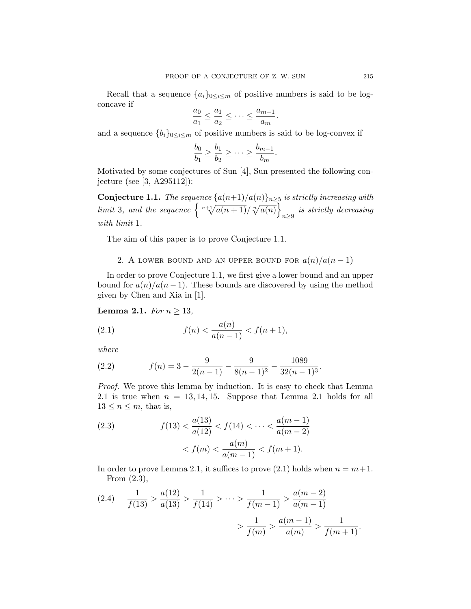Recall that a sequence  $\{a_i\}_{0\leq i\leq m}$  of positive numbers is said to be logconcave if

$$
\frac{a_0}{a_1} \le \frac{a_1}{a_2} \le \cdots \le \frac{a_{m-1}}{a_m}.
$$

and a sequence  ${b_i}_{0 \leq i \leq m}$  of positive numbers is said to be log-convex if

$$
\frac{b_0}{b_1} \ge \frac{b_1}{b_2} \ge \cdots \ge \frac{b_{m-1}}{b_m}.
$$

Motivated by some conjectures of Sun [4], Sun presented the following conjecture (see [3, A295112]):

**Conjecture 1.1.** The sequence  $\{a(n+1)/a(n)\}_{n\geq 5}$  is strictly increasing with limit 3, and the sequence  $\left\{\sqrt[n+1]{a(n+1)}/\sqrt[n]{a(n)}\right\}$  $n \geq 9$  is strictly decreasing with limit 1.

The aim of this paper is to prove Conjecture 1.1.

2. A LOWER BOUND AND AN UPPER BOUND FOR  $a(n)/a(n-1)$ 

In order to prove Conjecture 1.1, we first give a lower bound and an upper bound for  $a(n)/a(n-1)$ . These bounds are discovered by using the method given by Chen and Xia in [1].

Lemma 2.1. For  $n \geq 13$ ,

(2.1) 
$$
f(n) < \frac{a(n)}{a(n-1)} < f(n+1),
$$

where

(2.2) 
$$
f(n) = 3 - \frac{9}{2(n-1)} - \frac{9}{8(n-1)^2} - \frac{1089}{32(n-1)^3}.
$$

Proof. We prove this lemma by induction. It is easy to check that Lemma 2.1 is true when  $n = 13, 14, 15$ . Suppose that Lemma 2.1 holds for all  $13 \leq n \leq m$ , that is,

(2.3) 
$$
f(13) < \frac{a(13)}{a(12)} < f(14) < \dots < \frac{a(m-1)}{a(m-2)} \\
&< f(m) < \frac{a(m)}{a(m-1)} < f(m+1).
$$

In order to prove Lemma 2.1, it suffices to prove (2.1) holds when  $n = m+1$ . From (2.3),

$$
(2.4) \quad \frac{1}{f(13)} > \frac{a(12)}{a(13)} > \frac{1}{f(14)} > \dots > \frac{1}{f(m-1)} > \frac{a(m-2)}{a(m-1)}
$$

$$
> \frac{1}{f(m)} > \frac{a(m-1)}{a(m)} > \frac{1}{f(m+1)}.
$$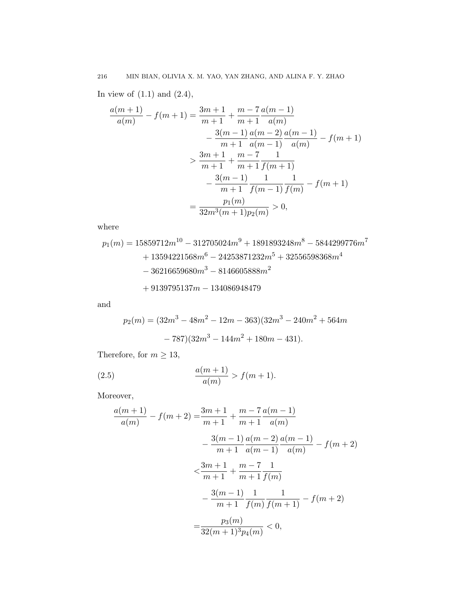In view of  $(1.1)$  and  $(2.4)$ ,

$$
\frac{a(m+1)}{a(m)} - f(m+1) = \frac{3m+1}{m+1} + \frac{m-7}{m+1} \frac{a(m-1)}{a(m)}
$$

$$
- \frac{3(m-1)}{m+1} \frac{a(m-2)}{a(m-1)} \frac{a(m-1)}{a(m)} - f(m+1)
$$

$$
> \frac{3m+1}{m+1} + \frac{m-7}{m+1} \frac{1}{f(m+1)}
$$

$$
- \frac{3(m-1)}{m+1} \frac{1}{f(m-1)} \frac{1}{f(m)} - f(m+1)
$$

$$
= \frac{p_1(m)}{32m^3(m+1)p_2(m)} > 0,
$$

where

$$
\begin{aligned} p_1(m) & = 15859712 m^{10} - 312705024 m^9 + 1891893248 m^8 - 5844299776 m^7 \\ & + 13594221568 m^6 - 24253871232 m^5 + 32556598368 m^4 \\ & - 36216659680 m^3 - 8146605888 m^2 \\ & + 9139795137 m - 134086948479 \end{aligned}
$$

and

$$
p_2(m) = (32m^3 - 48m^2 - 12m - 363)(32m^3 - 240m^2 + 564m - 787)(32m^3 - 144m^2 + 180m - 431).
$$

Therefore, for  $m \geq 13$ ,

(2.5) 
$$
\frac{a(m+1)}{a(m)} > f(m+1).
$$

Moreover,

$$
\frac{a(m+1)}{a(m)} - f(m+2) = \frac{3m+1}{m+1} + \frac{m-7}{m+1} \frac{a(m-1)}{a(m)}
$$

$$
- \frac{3(m-1)}{m+1} \frac{a(m-2)}{a(m-1)} \frac{a(m-1)}{a(m)} - f(m+2)
$$

$$
< \frac{3m+1}{m+1} + \frac{m-7}{m+1} \frac{1}{f(m)}
$$

$$
- \frac{3(m-1)}{m+1} \frac{1}{f(m)} \frac{1}{f(m+1)} - f(m+2)
$$

$$
= \frac{p_3(m)}{32(m+1)^3 p_4(m)} < 0,
$$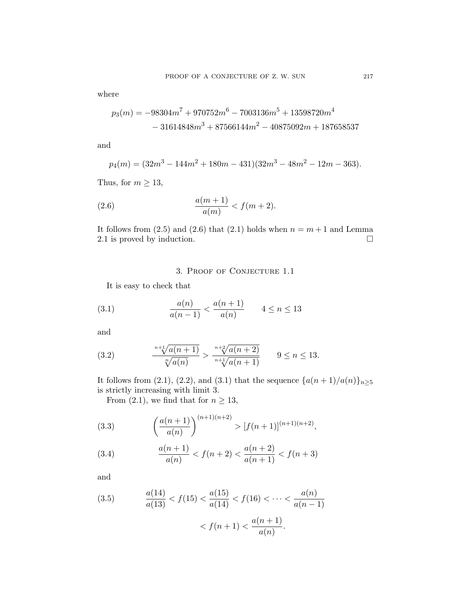where

$$
p_3(m) = -98304m^7 + 970752m^6 - 7003136m^5 + 13598720m^4
$$

$$
- 31614848m^3 + 87566144m^2 - 40875092m + 187658537
$$

and

$$
p_4(m) = (32m^3 - 144m^2 + 180m - 431)(32m^3 - 48m^2 - 12m - 363).
$$

Thus, for  $m \geq 13$ ,

(2.6) 
$$
\frac{a(m+1)}{a(m)} < f(m+2).
$$

It follows from  $(2.5)$  and  $(2.6)$  that  $(2.1)$  holds when  $n = m + 1$  and Lemma 2.1 is proved by induction.  $\Box$ 

# 3. Proof of Conjecture 1.1

It is easy to check that

(3.1) 
$$
\frac{a(n)}{a(n-1)} < \frac{a(n+1)}{a(n)} \qquad 4 \le n \le 13
$$

and

(3.2) 
$$
\frac{n+\sqrt[1]{a(n+1)}}{\sqrt[n]{a(n)}} > \frac{n+\sqrt[2]{a(n+2)}}{n+\sqrt[1]{a(n+1)}} \qquad 9 \le n \le 13.
$$

It follows from (2.1), (2.2), and (3.1) that the sequence  $\{a(n+1)/a(n)\}_n > 5$ is strictly increasing with limit 3.

From (2.1), we find that for  $n \geq 13$ ,

(3.3) 
$$
\left(\frac{a(n+1)}{a(n)}\right)^{(n+1)(n+2)} > [f(n+1)]^{(n+1)(n+2)},
$$

(3.4) 
$$
\frac{a(n+1)}{a(n)} < f(n+2) < \frac{a(n+2)}{a(n+1)} < f(n+3)
$$

and

(3.5) 
$$
\frac{a(14)}{a(13)} < f(15) < \frac{a(15)}{a(14)} < f(16) < \dots < \frac{a(n)}{a(n-1)}
$$

$$
\langle f(n+1) \rangle \frac{a(n+1)}{a(n)}.
$$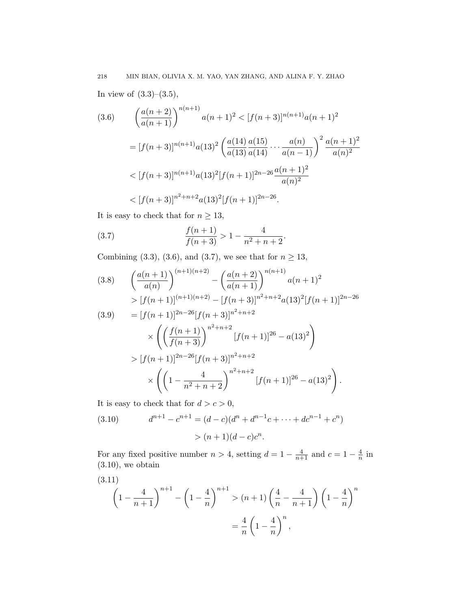In view of  $(3.3)$ – $(3.5)$ ,

$$
(3.6) \qquad \left(\frac{a(n+2)}{a(n+1)}\right)^{n(n+1)}a(n+1)^2 < [f(n+3)]^{n(n+1)}a(n+1)^2
$$
\n
$$
= [f(n+3)]^{n(n+1)}a(13)^2 \left(\frac{a(14)}{a(13)}\frac{a(15)}{a(14)}\cdots\frac{a(n)}{a(n-1)}\right)^2 \frac{a(n+1)^2}{a(n)^2}
$$
\n
$$
< [f(n+3)]^{n(n+1)}a(13)^2[f(n+1)]^{2n-26}\frac{a(n+1)^2}{a(n)^2}
$$
\n
$$
< [f(n+3)]^{n^2+n+2}a(13)^2[f(n+1)]^{2n-26}.
$$

It is easy to check that for  $n\geq 13,$ 

(3.7) 
$$
\frac{f(n+1)}{f(n+3)} > 1 - \frac{4}{n^2 + n + 2}.
$$

Combining (3.3), (3.6), and (3.7), we see that for  $n \geq 13$ ,

$$
(3.8) \qquad \left(\frac{a(n+1)}{a(n)}\right)^{(n+1)(n+2)} - \left(\frac{a(n+2)}{a(n+1)}\right)^{n(n+1)} a(n+1)^2
$$
  
\n
$$
> [f(n+1)]^{(n+1)(n+2)} - [f(n+3)]^{n^2+n+2} a(13)^2 [f(n+1)]^{2n-26}
$$
  
\n
$$
(3.9) \qquad = [f(n+1)]^{2n-26} [f(n+3)]^{n^2+n+2}
$$
  
\n
$$
\times \left( \left(\frac{f(n+1)}{f(n+3)}\right)^{n^2+n+2} [f(n+1)]^{26} - a(13)^2 \right)
$$
  
\n
$$
> [f(n+1)]^{2n-26} [f(n+3)]^{n^2+n+2}
$$
  
\n
$$
\times \left( \left(1 - \frac{4}{n^2+n+2}\right)^{n^2+n+2} [f(n+1)]^{26} - a(13)^2 \right).
$$

It is easy to check that for  $d > c > 0$ ,

(3.10) 
$$
d^{n+1} - c^{n+1} = (d - c)(d^n + d^{n-1}c + \dots + dc^{n-1} + c^n) > (n+1)(d - c)c^n.
$$

For any fixed positive number  $n > 4$ , setting  $d = 1 - \frac{4}{n+1}$  and  $c = 1 - \frac{4}{n}$  $\frac{4}{n}$  in  $(3.10)$ , we obtain

(3.11)  
\n
$$
\left(1 - \frac{4}{n+1}\right)^{n+1} - \left(1 - \frac{4}{n}\right)^{n+1} > (n+1)\left(\frac{4}{n} - \frac{4}{n+1}\right)\left(1 - \frac{4}{n}\right)^n
$$
\n
$$
= \frac{4}{n}\left(1 - \frac{4}{n}\right)^n,
$$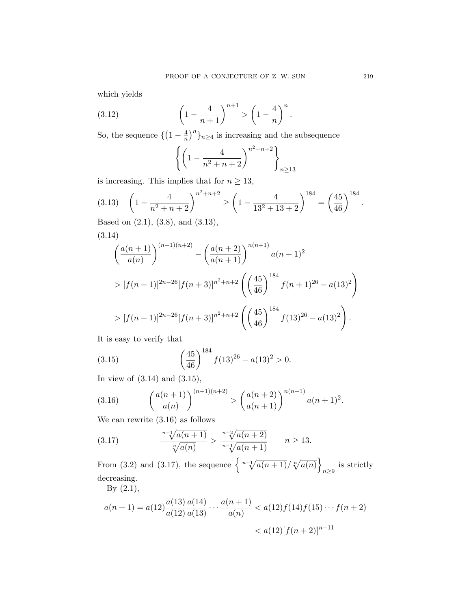which yields

(3.12) 
$$
\left(1 - \frac{4}{n+1}\right)^{n+1} > \left(1 - \frac{4}{n}\right)^n.
$$

So, the sequence  $\{(1-\frac{4}{n})\}$  $\frac{4}{n}\big)^n\}_{n\geq 4}$  is increasing and the subsequence

$$
\left\{ \left( 1 - \frac{4}{n^2 + n + 2} \right)^{n^2 + n + 2} \right\}_{n \ge 13}
$$

is increasing. This implies that for  $n \geq 13$ ,

$$
(3.13) \quad \left(1 - \frac{4}{n^2 + n + 2}\right)^{n^2 + n + 2} \ge \left(1 - \frac{4}{13^2 + 13 + 2}\right)^{184} = \left(\frac{45}{46}\right)^{184}.
$$
  
Based on (2.1), (3.8), and (3.13)

Based on (2.1), (3.8), and (3.13),

$$
(3.14)
$$
\n
$$
\left(\frac{a(n+1)}{a(n)}\right)^{(n+1)(n+2)} - \left(\frac{a(n+2)}{a(n+1)}\right)^{n(n+1)}a(n+1)^2
$$
\n
$$
> [f(n+1)]^{2n-26}[f(n+3)]^{n^2+n+2}\left(\left(\frac{45}{46}\right)^{184}f(n+1)^{26} - a(13)^2\right)
$$
\n
$$
> [f(n+1)]^{2n-26}[f(n+3)]^{n^2+n+2}\left(\left(\frac{45}{46}\right)^{184}f(13)^{26} - a(13)^2\right).
$$

It is easy to verify that

(3.15) 
$$
\left(\frac{45}{46}\right)^{184} f(13)^{26} - a(13)^2 > 0.
$$

In view of (3.14) and (3.15),

(3.16) 
$$
\left(\frac{a(n+1)}{a(n)}\right)^{(n+1)(n+2)} > \left(\frac{a(n+2)}{a(n+1)}\right)^{n(n+1)}a(n+1)^2.
$$

We can rewrite (3.16) as follows

(3.17) 
$$
\frac{n+\sqrt[1]{a(n+1)}}{\sqrt[n]{a(n)}} > \frac{n+\sqrt[2]{a(n+2)}}{n+\sqrt[1]{a(n+1)}} \qquad n \ge 13.
$$

From (3.2) and (3.17), the sequence  $\left\{\sqrt[n+1]{a(n+1)}/\sqrt[n]{a(n)}\right\}$ is strictly  $n \geq 9$ decreasing.

By (2.1),

$$
a(n+1) = a(12) \frac{a(13)}{a(12)} \frac{a(14)}{a(13)} \cdots \frac{a(n+1)}{a(n)} < a(12) f(14) f(15) \cdots f(n+2) \\
 < a(12) [f(n+2)]^{n-11}
$$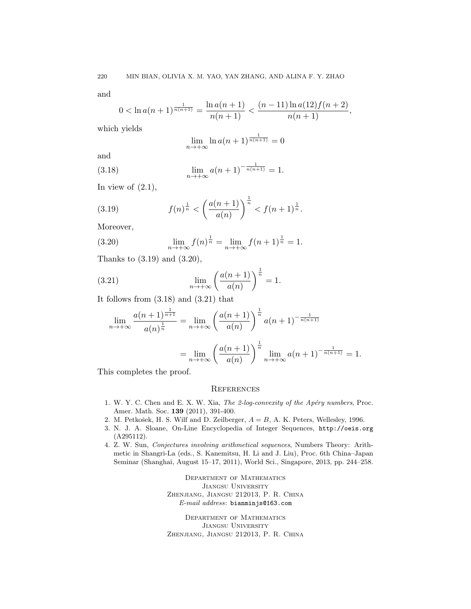and

$$
0 < \ln a(n+1)^{\frac{1}{n(n+1)}} = \frac{\ln a(n+1)}{n(n+1)} < \frac{(n-11)\ln a(12)f(n+2)}{n(n+1)},
$$

which yields

$$
\lim_{n \to +\infty} \ln a(n+1)^{\frac{1}{n(n+1)}} = 0
$$

and

(3.18) 
$$
\lim_{n \to +\infty} a(n+1)^{-\frac{1}{n(n+1)}} = 1.
$$

In view of  $(2.1)$ ,

(3.19) 
$$
f(n)^{\frac{1}{n}} < \left(\frac{a(n+1)}{a(n)}\right)^{\frac{1}{n}} < f(n+1)^{\frac{1}{n}}.
$$

Moreover,

(3.20) 
$$
\lim_{n \to +\infty} f(n)^{\frac{1}{n}} = \lim_{n \to +\infty} f(n+1)^{\frac{1}{n}} = 1.
$$

Thanks to (3.19) and (3.20),

(3.21) 
$$
\lim_{n \to +\infty} \left( \frac{a(n+1)}{a(n)} \right)^{\frac{1}{n}} = 1.
$$

It follows from  $(3.18)$  and  $(3.21)$  that

$$
\lim_{n \to +\infty} \frac{a(n+1)^{\frac{1}{n+1}}}{a(n)^{\frac{1}{n}}} = \lim_{n \to +\infty} \left(\frac{a(n+1)}{a(n)}\right)^{\frac{1}{n}} a(n+1)^{-\frac{1}{n(n+1)}}
$$

$$
= \lim_{n \to +\infty} \left(\frac{a(n+1)}{a(n)}\right)^{\frac{1}{n}} \lim_{n \to +\infty} a(n+1)^{-\frac{1}{n(n+1)}} = 1.
$$

This completes the proof.

### **REFERENCES**

- 1. W. Y. C. Chen and E. X. W. Xia, The 2-log-convexity of the Apéry numbers, Proc. Amer. Math. Soc. 139 (2011), 391-400.
- 2. M. Petkošek, H. S. Wilf and D. Zeilberger,  $A = B$ , A. K. Peters, Wellesley, 1996.
- 3. N. J. A. Sloane, On-Line Encyclopedia of Integer Sequences, http://oeis.org (A295112).
- 4. Z. W. Sun, Conjectures involving arithmetical sequences, Numbers Theory: Arithmetic in Shangri-La (eds., S. Kanemitsu, H. Li and J. Liu), Proc. 6th China–Japan Seminar (Shanghai, August 15–17, 2011), World Sci., Singapore, 2013, pp. 244–258.

Department of Mathematics Jiangsu University Zhenjiang, Jiangsu 212013, P. R. China E-mail address: bianminjs@163.com

Department of Mathematics Jiangsu University Zhenjiang, Jiangsu 212013, P. R. China